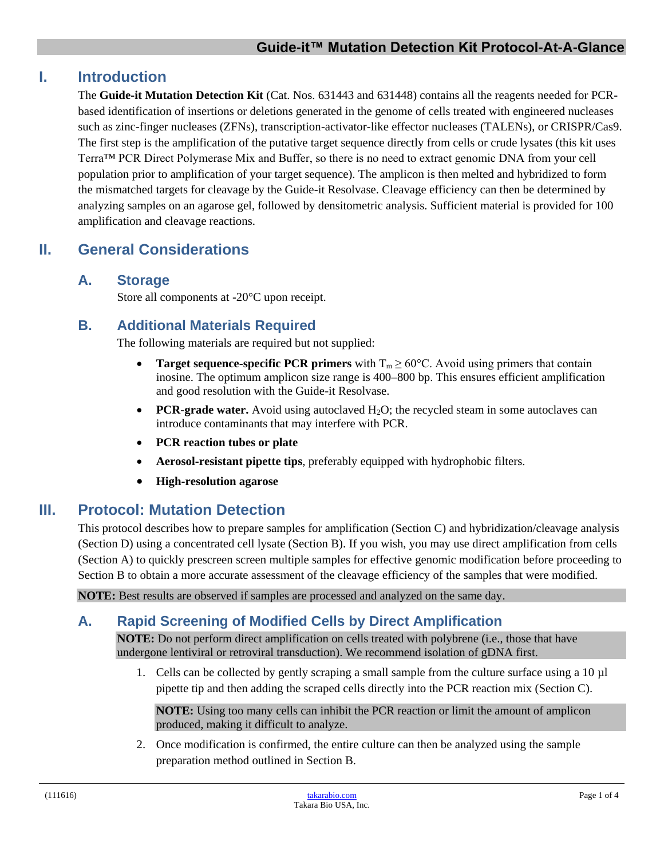## **I. Introduction**

The **Guide-it Mutation Detection Kit** (Cat. Nos. 631443 and 631448) contains all the reagents needed for PCRbased identification of insertions or deletions generated in the genome of cells treated with engineered nucleases such as zinc-finger nucleases (ZFNs), transcription-activator-like effector nucleases (TALENs), or CRISPR/Cas9. The first step is the amplification of the putative target sequence directly from cells or crude lysates (this kit uses Terra™ PCR Direct Polymerase Mix and Buffer, so there is no need to extract genomic DNA from your cell population prior to amplification of your target sequence). The amplicon is then melted and hybridized to form the mismatched targets for cleavage by the Guide-it Resolvase. Cleavage efficiency can then be determined by analyzing samples on an agarose gel, followed by densitometric analysis. Sufficient material is provided for 100 amplification and cleavage reactions.

# **II. General Considerations**

#### **A. Storage**

Store all components at -20°C upon receipt.

## **B. Additional Materials Required**

The following materials are required but not supplied:

- **Target sequence-specific PCR primers** with  $T_m \ge 60^{\circ}$ C. Avoid using primers that contain inosine. The optimum amplicon size range is 400–800 bp. This ensures efficient amplification and good resolution with the Guide-it Resolvase.
- **PCR-grade water.** Avoid using autoclaved H<sub>2</sub>O; the recycled steam in some autoclaves can introduce contaminants that may interfere with PCR.
- **PCR reaction tubes or plate**
- **Aerosol-resistant pipette tips**, preferably equipped with hydrophobic filters.
- **High-resolution agarose**

## **III. Protocol: Mutation Detection**

This protocol describes how to prepare samples for amplification (Section C) and hybridization/cleavage analysis (Section D) using a concentrated cell lysate (Section B). If you wish, you may use direct amplification from cells (Section A) to quickly prescreen screen multiple samples for effective genomic modification before proceeding to Section B to obtain a more accurate assessment of the cleavage efficiency of the samples that were modified.

**NOTE:** Best results are observed if samples are processed and analyzed on the same day.

## **A. Rapid Screening of Modified Cells by Direct Amplification**

**NOTE:** Do not perform direct amplification on cells treated with polybrene (i.e., those that have undergone lentiviral or retroviral transduction). We recommend isolation of gDNA first.

1. Cells can be collected by gently scraping a small sample from the culture surface using a 10 µl pipette tip and then adding the scraped cells directly into the PCR reaction mix (Section C).

**NOTE:** Using too many cells can inhibit the PCR reaction or limit the amount of amplicon produced, making it difficult to analyze.

2. Once modification is confirmed, the entire culture can then be analyzed using the sample preparation method outlined in Section B.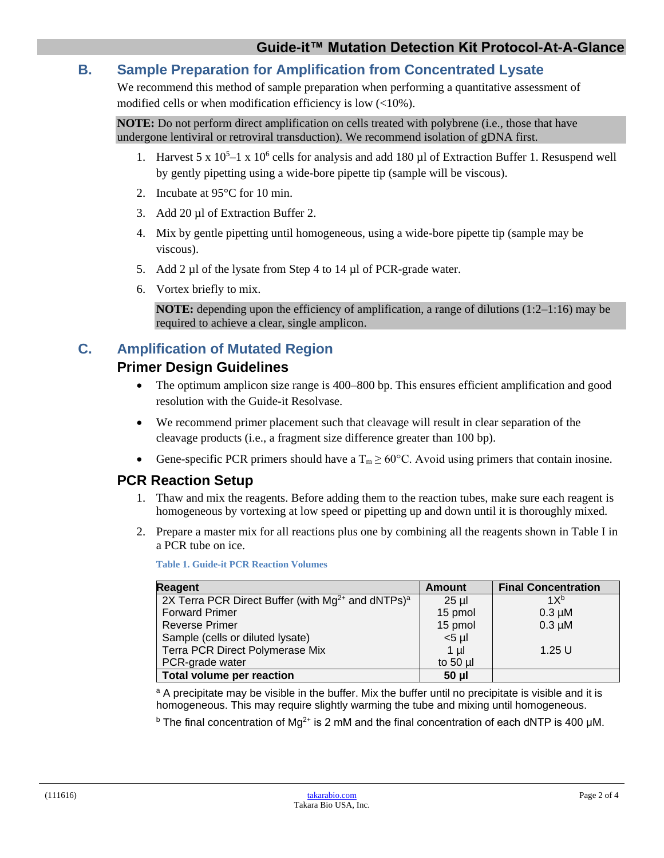## **B. Sample Preparation for Amplification from Concentrated Lysate**

We recommend this method of sample preparation when performing a quantitative assessment of modified cells or when modification efficiency is low (<10%).

**NOTE:** Do not perform direct amplification on cells treated with polybrene (i.e., those that have undergone lentiviral or retroviral transduction). We recommend isolation of gDNA first.

- 1. Harvest 5 x  $10^5 1$  x  $10^6$  cells for analysis and add 180 µl of Extraction Buffer 1. Resuspend well by gently pipetting using a wide-bore pipette tip (sample will be viscous).
- 2. Incubate at 95°C for 10 min.
- 3. Add 20 µl of Extraction Buffer 2.
- 4. Mix by gentle pipetting until homogeneous, using a wide-bore pipette tip (sample may be viscous).
- 5. Add 2 µl of the lysate from Step 4 to 14 µl of PCR-grade water.
- 6. Vortex briefly to mix.

**NOTE:** depending upon the efficiency of amplification, a range of dilutions (1:2–1:16) may be required to achieve a clear, single amplicon.

# **C. Amplification of Mutated Region**

## **Primer Design Guidelines**

- The optimum amplicon size range is 400–800 bp. This ensures efficient amplification and good resolution with the Guide-it Resolvase.
- We recommend primer placement such that cleavage will result in clear separation of the cleavage products (i.e., a fragment size difference greater than 100 bp).
- Gene-specific PCR primers should have a  $T_m \ge 60^{\circ}$ C. Avoid using primers that contain inosine.

## **PCR Reaction Setup**

- 1. Thaw and mix the reagents. Before adding them to the reaction tubes, make sure each reagent is homogeneous by vortexing at low speed or pipetting up and down until it is thoroughly mixed.
- 2. Prepare a master mix for all reactions plus one by combining all the reagents shown in Table I in a PCR tube on ice.

| <b>Reagent</b>                                                     | <b>Amount</b> | <b>Final Concentration</b> |
|--------------------------------------------------------------------|---------------|----------------------------|
| 2X Terra PCR Direct Buffer (with $Mg^{2+}$ and dNTPs) <sup>a</sup> | $25$ µ        | 1X <sup>b</sup>            |
| <b>Forward Primer</b>                                              | 15 pmol       | $0.3 \mu M$                |
| <b>Reverse Primer</b>                                              | 15 pmol       | $0.3 \mu M$                |
| Sample (cells or diluted lysate)                                   | $<$ 5 µl      |                            |
| Terra PCR Direct Polymerase Mix                                    | $1 \mu$       | $1.25$ U                   |
| PCR-grade water                                                    | to $50$ $\mu$ |                            |
| Total volume per reaction                                          | 50 µl         |                            |

**Table 1. Guide-it PCR Reaction Volumes**

<sup>a</sup> A precipitate may be visible in the buffer. Mix the buffer until no precipitate is visible and it is homogeneous. This may require slightly warming the tube and mixing until homogeneous.

 $<sup>b</sup>$  The final concentration of Mq<sup>2+</sup> is 2 mM and the final concentration of each dNTP is 400 μM.</sup>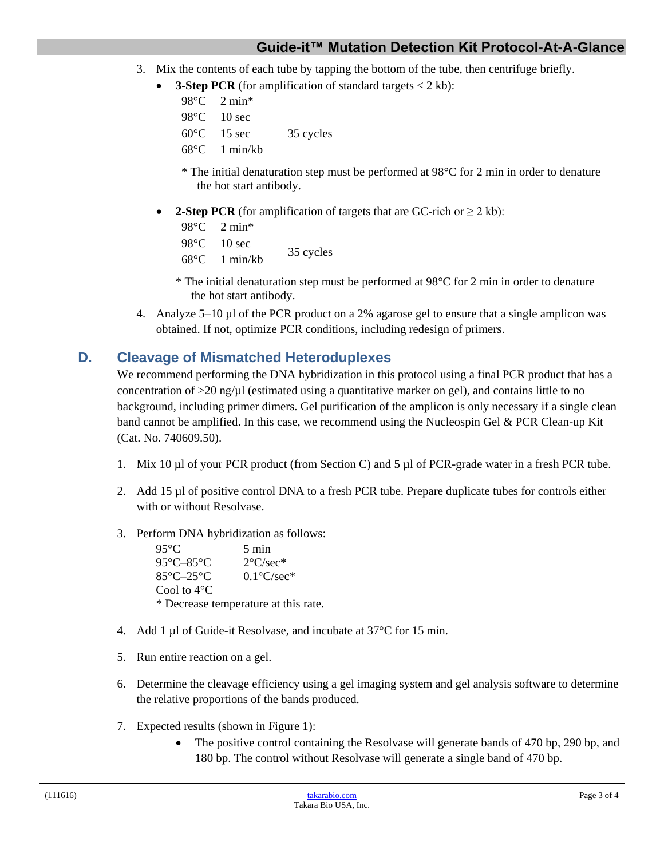## **Guide-it™ Mutation Detection Kit Protocol-At-A-Glance**

- 3. Mix the contents of each tube by tapping the bottom of the tube, then centrifuge briefly.
	- **3-Step PCR** (for amplification of standard targets  $\lt$  2 kb):

```
98°C 2 min*
98°C 10 sec
60^{\circ}C 15 sec 35 cycles
68°C 1 min/kb
```
- \* The initial denaturation step must be performed at 98°C for 2 min in order to denature the hot start antibody.
- **2-Step PCR** (for amplification of targets that are GC-rich or  $\geq 2$  kb):

```
98°C 2 min*
98°C 10 sec
\frac{35}{68}°C 1 min/kb 35 cycles
```
- \* The initial denaturation step must be performed at 98°C for 2 min in order to denature the hot start antibody.
- 4. Analyze 5–10 µl of the PCR product on a 2% agarose gel to ensure that a single amplicon was obtained. If not, optimize PCR conditions, including redesign of primers.

#### **D. Cleavage of Mismatched Heteroduplexes**

We recommend performing the DNA hybridization in this protocol using a final PCR product that has a concentration of  $>20$  ng/ $\mu$ l (estimated using a quantitative marker on gel), and contains little to no background, including primer dimers. Gel purification of the amplicon is only necessary if a single clean band cannot be amplified. In this case, we recommend using the Nucleospin Gel & PCR Clean-up Kit (Cat. No. 740609.50).

- 1. Mix 10 µl of your PCR product (from Section C) and 5 µl of PCR-grade water in a fresh PCR tube.
- 2. Add 15 µl of positive control DNA to a fresh PCR tube. Prepare duplicate tubes for controls either with or without Resolvase.
- 3. Perform DNA hybridization as follows:

 $95^{\circ}$ C 5 min 95°C–85°C 2°C/sec\* 85°C–25°C 0.1°C/sec\* Cool to 4°C \* Decrease temperature at this rate.

- 4. Add 1 µl of Guide-it Resolvase, and incubate at 37°C for 15 min.
- 5. Run entire reaction on a gel.
- 6. Determine the cleavage efficiency using a gel imaging system and gel analysis software to determine the relative proportions of the bands produced.
- 7. Expected results (shown in Figure 1):
	- The positive control containing the Resolvase will generate bands of 470 bp, 290 bp, and 180 bp. The control without Resolvase will generate a single band of 470 bp.